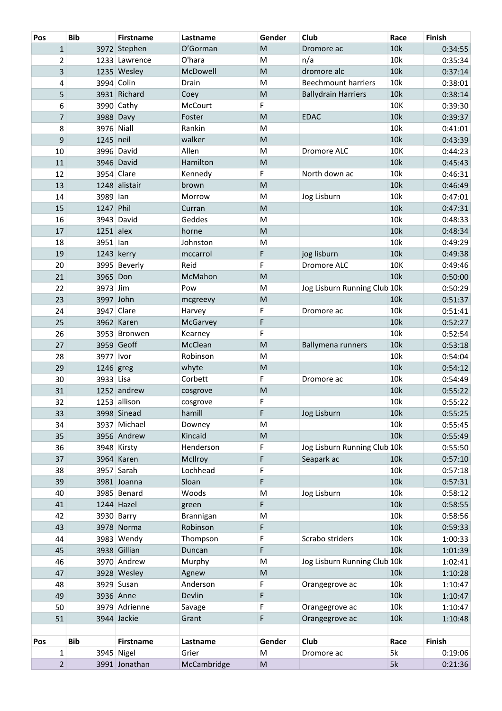| Pos            | <b>Bib</b>  | <b>Firstname</b> | Lastname        | Gender                                                                                                     | Club                         | Race | <b>Finish</b> |
|----------------|-------------|------------------|-----------------|------------------------------------------------------------------------------------------------------------|------------------------------|------|---------------|
| $\mathbf{1}$   |             | 3972 Stephen     | O'Gorman        | M                                                                                                          | Dromore ac                   | 10k  | 0:34:55       |
| $\overline{2}$ |             | 1233 Lawrence    | O'hara          | M                                                                                                          | n/a                          | 10k  | 0:35:34       |
| 3              |             | 1235 Wesley      | McDowell        | M                                                                                                          | dromore alc                  | 10k  | 0:37:14       |
| 4              |             | 3994 Colin       | Drain           | M                                                                                                          | <b>Beechmount harriers</b>   | 10k  | 0:38:01       |
| 5              |             | 3931 Richard     | Coey            | M                                                                                                          | <b>Ballydrain Harriers</b>   | 10k  | 0:38:14       |
| 6              |             | 3990 Cathy       | McCourt         | F                                                                                                          |                              | 10K  | 0:39:30       |
| $\overline{7}$ |             | 3988 Davy        | Foster          | M                                                                                                          | <b>EDAC</b>                  | 10k  | 0:39:37       |
| 8              |             | 3976 Niall       | Rankin          | M                                                                                                          |                              | 10k  | 0:41:01       |
| 9              | 1245 neil   |                  | walker          | M                                                                                                          |                              | 10k  | 0:43:39       |
| 10             |             | 3996 David       | Allen           | M                                                                                                          | Dromore ALC                  | 10K  | 0:44:23       |
| 11             |             | 3946 David       | Hamilton        | M                                                                                                          |                              | 10k  | 0:45:43       |
| 12             |             | 3954 Clare       | Kennedy         | F                                                                                                          | North down ac                | 10k  | 0:46:31       |
| 13             |             | 1248 alistair    | brown           | M                                                                                                          |                              | 10k  | 0:46:49       |
| 14             | 3989 lan    |                  | Morrow          | M                                                                                                          | Jog Lisburn                  | 10k  | 0:47:01       |
| 15             | 1247 Phil   |                  | Curran          | M                                                                                                          |                              | 10k  | 0:47:31       |
| 16             |             | 3943 David       | Geddes          | M                                                                                                          |                              | 10k  | 0:48:33       |
| 17             | $1251$ alex |                  | horne           | M                                                                                                          |                              | 10k  | 0:48:34       |
| 18             | 3951 lan    |                  | Johnston        | M                                                                                                          |                              | 10k  | 0:49:29       |
| 19             |             | 1243 kerry       | mccarrol        | F                                                                                                          | jog lisburn                  | 10k  | 0:49:38       |
| 20             |             | 3995 Beverly     | Reid            | F                                                                                                          | Dromore ALC                  | 10K  | 0:49:46       |
| 21             | 3965 Don    |                  | McMahon         | M                                                                                                          |                              | 10k  | 0:50:00       |
| 22             | 3973 Jim    |                  | Pow             | M                                                                                                          | Jog Lisburn Running Club 10k |      | 0:50:29       |
| 23             |             | 3997 John        | mcgreevy        | M                                                                                                          |                              | 10k  | 0:51:37       |
| 24             |             | 3947 Clare       | Harvey          | F                                                                                                          | Dromore ac                   | 10k  | 0:51:41       |
| 25             |             | 3962 Karen       | <b>McGarvey</b> | F                                                                                                          |                              | 10k  | 0:52:27       |
| 26             |             | 3953 Bronwen     | Kearney         | F                                                                                                          |                              | 10k  | 0:52:54       |
| 27             |             | 3959 Geoff       | McClean         | M                                                                                                          | Ballymena runners            | 10k  | 0:53:18       |
| 28             | 3977 Ivor   |                  | Robinson        | M                                                                                                          |                              | 10k  | 0:54:04       |
| 29             | 1246 greg   |                  | whyte           | M                                                                                                          |                              | 10k  | 0:54:12       |
| 30             | 3933 Lisa   |                  | Corbett         | F                                                                                                          | Dromore ac                   | 10k  | 0:54:49       |
| 31             |             | 1252 andrew      | cosgrove        | M                                                                                                          |                              | 10k  | 0:55:22       |
| 32             |             | 1253 allison     | cosgrove        | F                                                                                                          |                              | 10k  | 0:55:22       |
| 33             |             | 3998 Sinead      | hamill          | F                                                                                                          | Jog Lisburn                  | 10k  | 0:55:25       |
| 34             |             | 3937 Michael     | Downey          | M                                                                                                          |                              | 10k  | 0:55:45       |
| 35             |             | 3956 Andrew      | Kincaid         | $\mathsf{M}% _{T}=\mathsf{M}_{T}\!\left( a,b\right) ,\ \mathsf{M}_{T}=\mathsf{M}_{T}\!\left( a,b\right) ,$ |                              | 10k  | 0:55:49       |
| 36             |             | 3948 Kirsty      | Henderson       | F                                                                                                          | Jog Lisburn Running Club 10k |      | 0:55:50       |
| 37             |             | 3964 Karen       | McIlroy         | F                                                                                                          | Seapark ac                   | 10k  | 0:57:10       |
| 38             |             | $3957$ Sarah     | Lochhead        | F                                                                                                          |                              | 10k  | 0:57:18       |
| 39             |             | 3981 Joanna      | Sloan           | F                                                                                                          |                              | 10k  | 0:57:31       |
| 40             |             | 3985 Benard      | Woods           | M                                                                                                          | Jog Lisburn                  | 10k  | 0:58:12       |
| 41             |             | 1244 Hazel       | green           | F                                                                                                          |                              | 10k  | 0:58:55       |
| 42             |             | 3930 Barry       | Brannigan       | M                                                                                                          |                              | 10k  | 0:58:56       |
| 43             |             | 3978 Norma       | Robinson        | F                                                                                                          |                              | 10k  | 0:59:33       |
| 44             |             | 3983 Wendy       | Thompson        | F                                                                                                          | Scrabo striders              | 10k  | 1:00:33       |
| 45             |             | 3938 Gillian     | Duncan          | F                                                                                                          |                              | 10k  | 1:01:39       |
| 46             |             | 3970 Andrew      | Murphy          | M                                                                                                          | Jog Lisburn Running Club 10k |      | 1:02:41       |
| 47             |             | 3928 Wesley      | Agnew           | M                                                                                                          |                              | 10k  | 1:10:28       |
| 48             |             | 3929 Susan       | Anderson        | F                                                                                                          | Orangegrove ac               | 10k  | 1:10:47       |
| 49             |             | 3936 Anne        | Devlin          | F                                                                                                          |                              | 10k  | 1:10:47       |
| 50             |             | 3979 Adrienne    | Savage          | F                                                                                                          | Orangegrove ac               | 10k  | 1:10:47       |
| 51             |             | 3944 Jackie      | Grant           | F                                                                                                          | Orangegrove ac               | 10k  | 1:10:48       |
|                |             |                  |                 |                                                                                                            |                              |      |               |
| Pos            | <b>Bib</b>  | <b>Firstname</b> | Lastname        | Gender                                                                                                     | Club                         | Race | Finish        |
| 1              |             | 3945 Nigel       | Grier           | M                                                                                                          | Dromore ac                   | 5k   | 0:19:06       |
| $\overline{2}$ |             | 3991 Jonathan    | McCambridge     | ${\sf M}$                                                                                                  |                              | 5k   | 0:21:36       |
|                |             |                  |                 |                                                                                                            |                              |      |               |